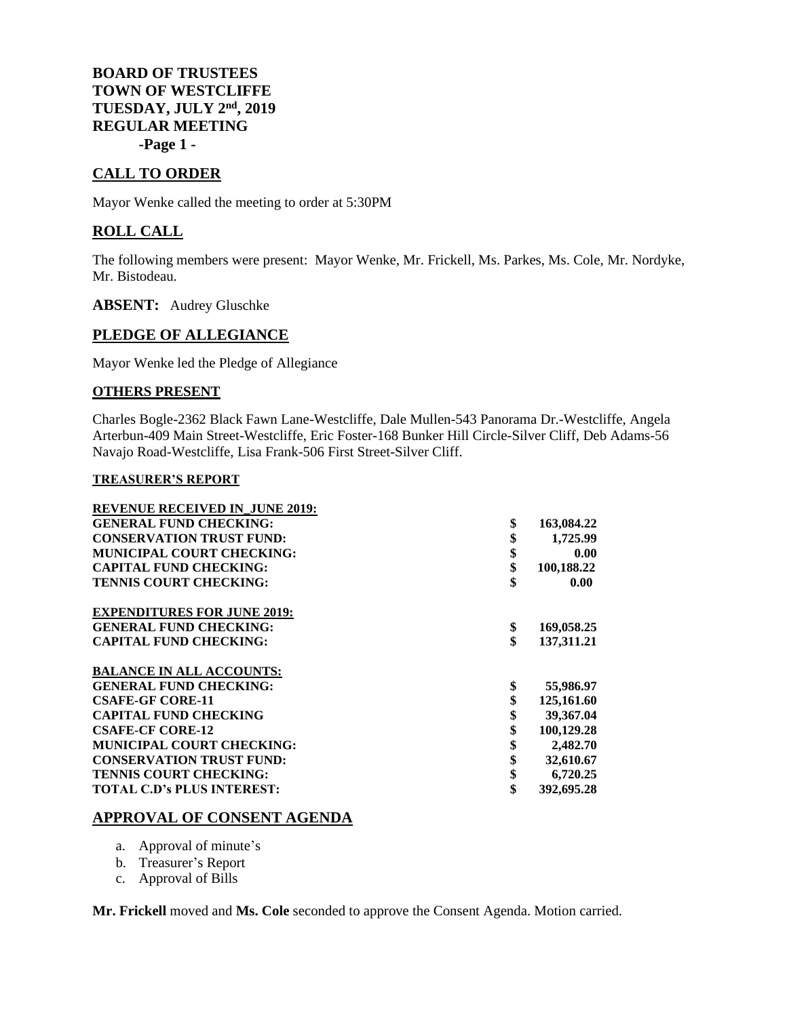**BOARD OF TRUSTEES TOWN OF WESTCLIFFE TUESDAY, JULY 2 nd, 2019 REGULAR MEETING -Page 1 -**

# **CALL TO ORDER**

Mayor Wenke called the meeting to order at 5:30PM

## **ROLL CALL**

The following members were present: Mayor Wenke, Mr. Frickell, Ms. Parkes, Ms. Cole, Mr. Nordyke, Mr. Bistodeau.

**ABSENT:** Audrey Gluschke

## **PLEDGE OF ALLEGIANCE**

Mayor Wenke led the Pledge of Allegiance

## **OTHERS PRESENT**

Charles Bogle-2362 Black Fawn Lane-Westcliffe, Dale Mullen-543 Panorama Dr.-Westcliffe, Angela Arterbun-409 Main Street-Westcliffe, Eric Foster-168 Bunker Hill Circle-Silver Cliff, Deb Adams-56 Navajo Road-Westcliffe, Lisa Frank-506 First Street-Silver Cliff.

#### **TREASURER'S REPORT**

| <b>REVENUE RECEIVED IN JUNE 2019:</b> |                  |
|---------------------------------------|------------------|
| <b>GENERAL FUND CHECKING:</b>         | \$<br>163,084.22 |
| <b>CONSERVATION TRUST FUND:</b>       | \$<br>1,725.99   |
| <b>MUNICIPAL COURT CHECKING:</b>      | \$<br>0.00       |
| <b>CAPITAL FUND CHECKING:</b>         | \$<br>100,188.22 |
| <b>TENNIS COURT CHECKING:</b>         | \$<br>0.00       |
| <b>EXPENDITURES FOR JUNE 2019:</b>    |                  |
| <b>GENERAL FUND CHECKING:</b>         | \$<br>169,058.25 |
| <b>CAPITAL FUND CHECKING:</b>         | \$<br>137,311.21 |
| <b>BALANCE IN ALL ACCOUNTS:</b>       |                  |
| <b>GENERAL FUND CHECKING:</b>         | \$<br>55,986.97  |
| <b>CSAFE-GF CORE-11</b>               | 125,161.60       |
| <b>CAPITAL FUND CHECKING</b>          | \$<br>39,367.04  |
| <b>CSAFE-CF CORE-12</b>               | \$<br>100,129.28 |
| <b>MUNICIPAL COURT CHECKING:</b>      | \$<br>2,482.70   |
| <b>CONSERVATION TRUST FUND:</b>       | \$<br>32,610.67  |
| <b>TENNIS COURT CHECKING:</b>         | \$<br>6,720.25   |
| <b>TOTAL C.D's PLUS INTEREST:</b>     | \$<br>392,695.28 |

## **APPROVAL OF CONSENT AGENDA**

- a. Approval of minute's
- b. Treasurer's Report
- c. Approval of Bills

**Mr. Frickell** moved and **Ms. Cole** seconded to approve the Consent Agenda. Motion carried.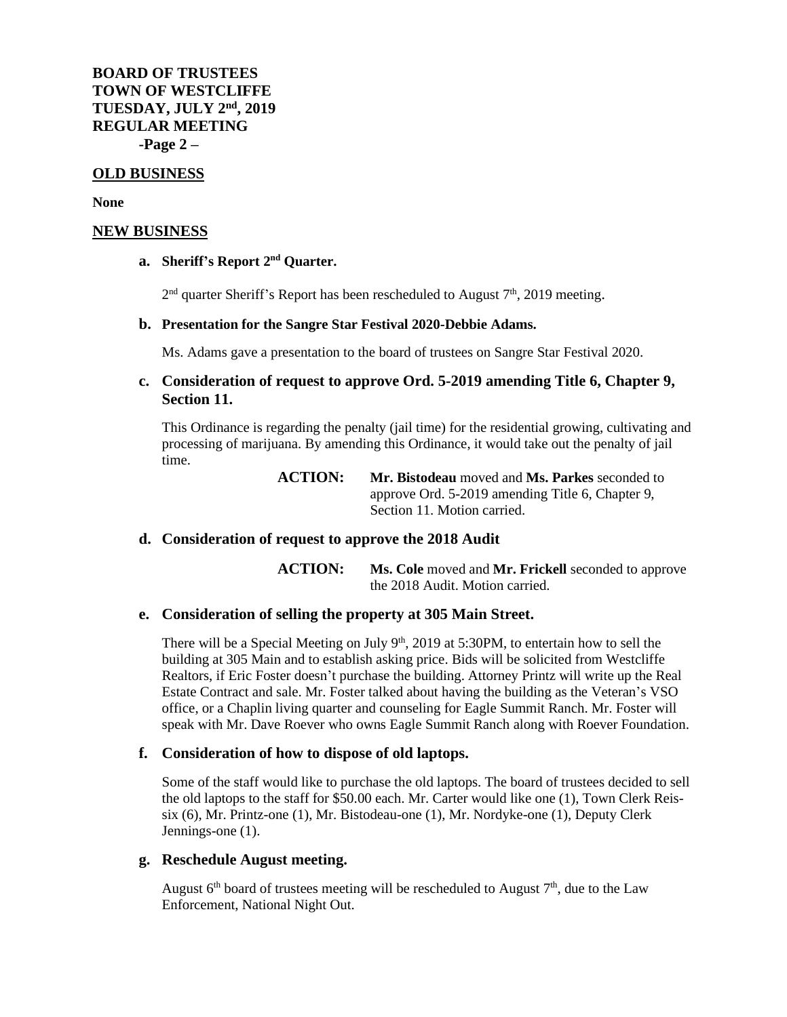**BOARD OF TRUSTEES TOWN OF WESTCLIFFE TUESDAY, JULY 2 nd, 2019 REGULAR MEETING -Page 2 –**

#### **OLD BUSINESS**

**None**

#### **NEW BUSINESS**

#### **a. Sheriff's Report 2 nd Quarter.**

 $2<sup>nd</sup>$  quarter Sheriff's Report has been rescheduled to August  $7<sup>th</sup>$ , 2019 meeting.

#### **b. Presentation for the Sangre Star Festival 2020-Debbie Adams.**

Ms. Adams gave a presentation to the board of trustees on Sangre Star Festival 2020.

# **c. Consideration of request to approve Ord. 5-2019 amending Title 6, Chapter 9, Section 11.**

This Ordinance is regarding the penalty (jail time) for the residential growing, cultivating and processing of marijuana. By amending this Ordinance, it would take out the penalty of jail time.

> **ACTION: Mr. Bistodeau** moved and **Ms. Parkes** seconded to approve Ord. 5-2019 amending Title 6, Chapter 9, Section 11. Motion carried.

## **d. Consideration of request to approve the 2018 Audit**

**ACTION: Ms. Cole** moved and **Mr. Frickell** seconded to approve the 2018 Audit. Motion carried.

#### **e. Consideration of selling the property at 305 Main Street.**

There will be a Special Meeting on July  $9<sup>th</sup>$ , 2019 at 5:30PM, to entertain how to sell the building at 305 Main and to establish asking price. Bids will be solicited from Westcliffe Realtors, if Eric Foster doesn't purchase the building. Attorney Printz will write up the Real Estate Contract and sale. Mr. Foster talked about having the building as the Veteran's VSO office, or a Chaplin living quarter and counseling for Eagle Summit Ranch. Mr. Foster will speak with Mr. Dave Roever who owns Eagle Summit Ranch along with Roever Foundation.

#### **f. Consideration of how to dispose of old laptops.**

Some of the staff would like to purchase the old laptops. The board of trustees decided to sell the old laptops to the staff for \$50.00 each. Mr. Carter would like one (1), Town Clerk Reissix (6), Mr. Printz-one (1), Mr. Bistodeau-one (1), Mr. Nordyke-one (1), Deputy Clerk Jennings-one (1).

#### **g. Reschedule August meeting.**

August  $6<sup>th</sup>$  board of trustees meeting will be rescheduled to August  $7<sup>th</sup>$ , due to the Law Enforcement, National Night Out.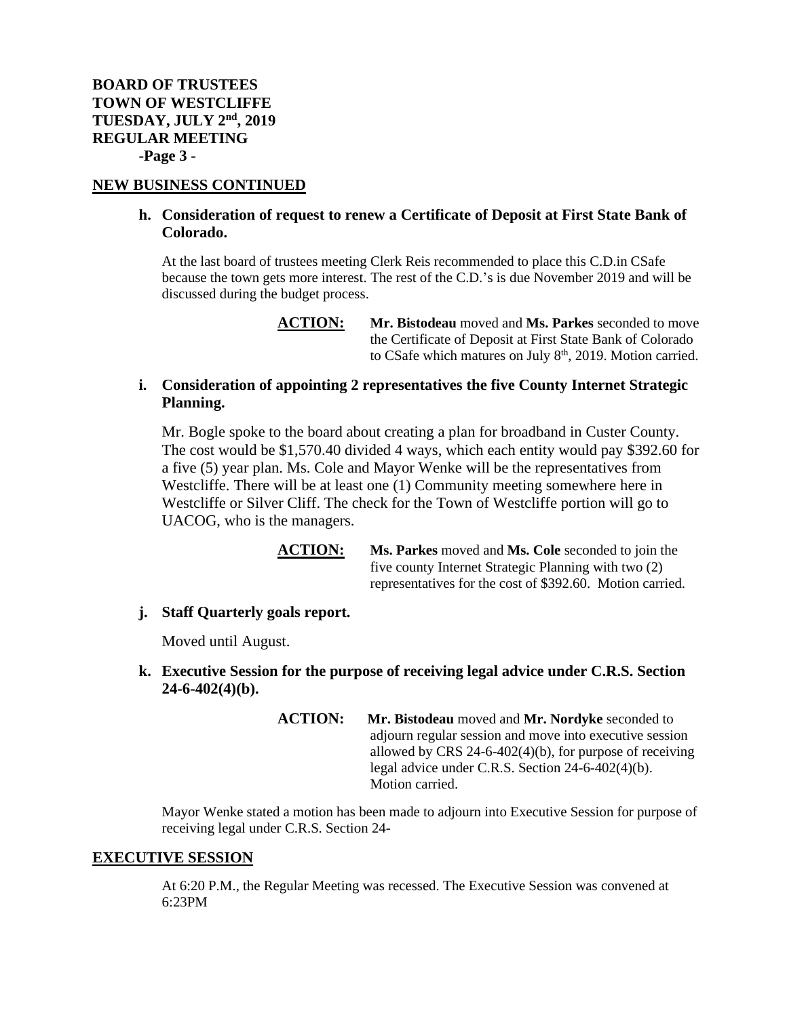**BOARD OF TRUSTEES TOWN OF WESTCLIFFE TUESDAY, JULY 2 nd, 2019 REGULAR MEETING -Page 3 -**

## **NEW BUSINESS CONTINUED**

## **h. Consideration of request to renew a Certificate of Deposit at First State Bank of Colorado.**

At the last board of trustees meeting Clerk Reis recommended to place this C.D.in CSafe because the town gets more interest. The rest of the C.D.'s is due November 2019 and will be discussed during the budget process.

## **i. Consideration of appointing 2 representatives the five County Internet Strategic Planning.**

Mr. Bogle spoke to the board about creating a plan for broadband in Custer County. The cost would be \$1,570.40 divided 4 ways, which each entity would pay \$392.60 for a five (5) year plan. Ms. Cole and Mayor Wenke will be the representatives from Westcliffe. There will be at least one (1) Community meeting somewhere here in Westcliffe or Silver Cliff. The check for the Town of Westcliffe portion will go to UACOG, who is the managers.

> **ACTION: Ms. Parkes** moved and **Ms. Cole** seconded to join the five county Internet Strategic Planning with two (2) representatives for the cost of \$392.60. Motion carried.

#### **j. Staff Quarterly goals report.**

Moved until August.

## **k. Executive Session for the purpose of receiving legal advice under C.R.S. Section 24-6-402(4)(b).**

**ACTION: Mr. Bistodeau** moved and **Mr. Nordyke** seconded to adjourn regular session and move into executive session allowed by CRS 24-6-402(4)(b), for purpose of receiving legal advice under C.R.S. Section 24-6-402(4)(b). Motion carried.

Mayor Wenke stated a motion has been made to adjourn into Executive Session for purpose of receiving legal under C.R.S. Section 24-

#### **EXECUTIVE SESSION**

At 6:20 P.M., the Regular Meeting was recessed. The Executive Session was convened at 6:23PM

**ACTION: Mr. Bistodeau** moved and **Ms. Parkes** seconded to move the Certificate of Deposit at First State Bank of Colorado to CSafe which matures on July  $8<sup>th</sup>$ , 2019. Motion carried.